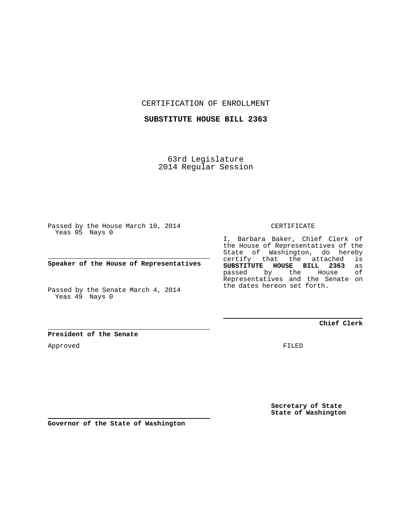CERTIFICATION OF ENROLLMENT

**SUBSTITUTE HOUSE BILL 2363**

63rd Legislature 2014 Regular Session

Passed by the House March 10, 2014 Yeas 95 Nays 0

**Speaker of the House of Representatives**

Passed by the Senate March 4, 2014 Yeas 49 Nays 0

**President of the Senate**

Approved

CERTIFICATE

I, Barbara Baker, Chief Clerk of the House of Representatives of the State of Washington, do hereby certify that the attached is<br>**SUBSTITUTE HOUSE BILL 2363** as **SUBSTITUTE HOUSE BILL 2363** as passed by the Representatives and the Senate on the dates hereon set forth.

**Chief Clerk**

FILED

**Secretary of State State of Washington**

**Governor of the State of Washington**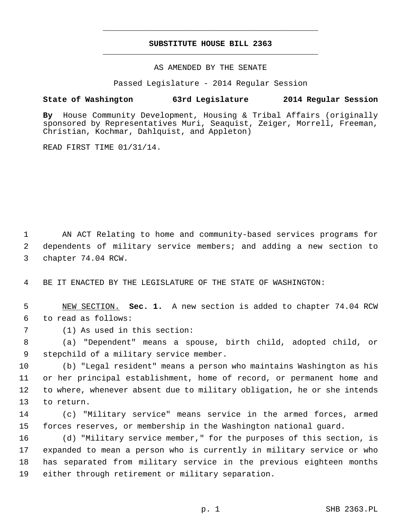## **SUBSTITUTE HOUSE BILL 2363** \_\_\_\_\_\_\_\_\_\_\_\_\_\_\_\_\_\_\_\_\_\_\_\_\_\_\_\_\_\_\_\_\_\_\_\_\_\_\_\_\_\_\_\_\_

\_\_\_\_\_\_\_\_\_\_\_\_\_\_\_\_\_\_\_\_\_\_\_\_\_\_\_\_\_\_\_\_\_\_\_\_\_\_\_\_\_\_\_\_\_

AS AMENDED BY THE SENATE

Passed Legislature - 2014 Regular Session

## **State of Washington 63rd Legislature 2014 Regular Session**

**By** House Community Development, Housing & Tribal Affairs (originally sponsored by Representatives Muri, Seaquist, Zeiger, Morrell, Freeman, Christian, Kochmar, Dahlquist, and Appleton)

READ FIRST TIME 01/31/14.

 1 AN ACT Relating to home and community-based services programs for 2 dependents of military service members; and adding a new section to 3 chapter 74.04 RCW.

4 BE IT ENACTED BY THE LEGISLATURE OF THE STATE OF WASHINGTON:

 5 NEW SECTION. **Sec. 1.** A new section is added to chapter 74.04 RCW 6 to read as follows:

7 (1) As used in this section:

 8 (a) "Dependent" means a spouse, birth child, adopted child, or 9 stepchild of a military service member.

10 (b) "Legal resident" means a person who maintains Washington as his 11 or her principal establishment, home of record, or permanent home and 12 to where, whenever absent due to military obligation, he or she intends 13 to return.

14 (c) "Military service" means service in the armed forces, armed 15 forces reserves, or membership in the Washington national guard.

16 (d) "Military service member," for the purposes of this section, is 17 expanded to mean a person who is currently in military service or who 18 has separated from military service in the previous eighteen months 19 either through retirement or military separation.